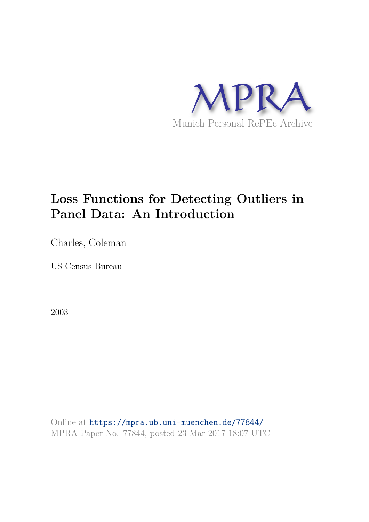

# **Loss Functions for Detecting Outliers in Panel Data: An Introduction**

Charles, Coleman

US Census Bureau

2003

Online at https://mpra.ub.uni-muenchen.de/77844/ MPRA Paper No. 77844, posted 23 Mar 2017 18:07 UTC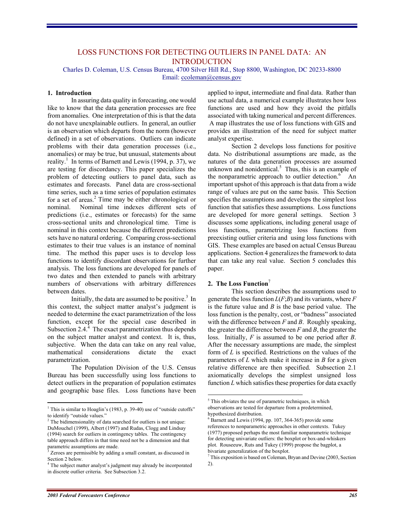# LOSS FUNCTIONS FOR DETECTING OUTLIERS IN PANEL DATA: AN **INTRODUCTION**

Charles D. Coleman, U.S. Census Bureau, 4700 Silver Hill Rd., Stop 8800, Washington, DC 20233-8800 Email: ccoleman@census.gov

#### **1. Introduction**

In assuring data quality in forecasting, one would like to know that the data generation processes are free from anomalies. One interpretation of this is that the data do not have unexplainable outliers. In general, an outlier is an observation which departs from the norm (however defined) in a set of observations. Outliers can indicate problems with their data generation processes (i.e., anomalies) or may be true, but unusual, statements about reality.<sup>1</sup> In terms of Barnett and Lewis (1994, p. 37), we are testing for discordancy. This paper specializes the problem of detecting outliers to panel data, such as estimates and forecasts. Panel data are cross-sectional time series, such as a time series of population estimates for a set of areas.<sup>2</sup> Time may be either chronological or nominal. Nominal time indexes different sets of predictions (i.e., estimates or forecasts) for the same cross-sectional units and chronological time. Time is nominal in this context because the different predictions sets have no natural ordering. Comparing cross-sectional estimates to their true values is an instance of nominal time. The method this paper uses is to develop loss functions to identify discordant observations for further analysis. The loss functions are developed for panels of two dates and then extended to panels with arbitrary numbers of observations with arbitrary differences between dates.

Initially, the data are assumed to be positive. $3$  In this context, the subject matter analyst's judgment is needed to determine the exact parametrization of the loss function, except for the special case described in Subsection 2.4. $^4$  The exact parametrization thus depends on the subject matter analyst and context. It is, thus, subjective. When the data can take on any real value, mathematical considerations dictate the exact parametrization.

The Population Division of the U.S. Census Bureau has been successfully using loss functions to detect outliers in the preparation of population estimates and geographic base files. Loss functions have been applied to input, intermediate and final data. Rather than use actual data, a numerical example illustrates how loss functions are used and how they avoid the pitfalls associated with taking numerical and percent differences. A map illustrates the use of loss functions with GIS and provides an illustration of the need for subject matter analyst expertise.

Section 2 develops loss functions for positive data. No distributional assumptions are made, as the natures of the data generation processes are assumed unknown and nonidentical.<sup>5</sup> Thus, this is an example of the nonparametric approach to outlier detection. $6$  An important upshot of this approach is that data from a wide range of values are put on the same basis. This Section specifies the assumptions and develops the simplest loss function that satisfies these assumptions. Loss functions are developed for more general settings. Section 3 discusses some applications, including general usage of loss functions, parametrizing loss functions from preexisting outlier criteria and using loss functions with GIS. These examples are based on actual Census Bureau applications. Section 4 generalizes the framework to data that can take any real value. Section 5 concludes this paper.

#### **2. The Loss Function**<sup>7</sup>

-

 This section describes the assumptions used to generate the loss function *L*(*F*;*B*) and its variants, where *F* is the future value and *B* is the base period value. The loss function is the penalty, cost, or "badness" associated with the difference between *F* and *B*. Roughly speaking, the greater the difference between *F* and *B*, the greater the loss. Initially, *F* is assumed to be one period after *B*. After the necessary assumptions are made, the simplest form of *L* is specified. Restrictions on the values of the parameters of *L* which make it increase in *B* for a given relative difference are then specified. Subsection 2.1 axiomatically develops the simplest unsigned loss function *L* which satisfies these properties for data exactly

<sup>&</sup>lt;sup>1</sup> This is similar to Hoaglin's (1983, p. 39-40) use of "outside cutoffs" to identify "outside values."

<sup>&</sup>lt;sup>2</sup> The bidimensionality of data searched for outliers is not unique: DuMouchel (1999), Albert (1997) and Rudas, Clogg and Lindsay (1994) search for outliers in contingency tables. The contingency table approach differs in that time need not be a dimension and that parametric assumptions are made.<br><sup>3</sup> Zeroes are permissible by adding

Zeroes are permissible by adding a small constant, as discussed in Section 2 below.

<sup>&</sup>lt;sup>4</sup> The subject matter analyst's judgment may already be incorporated in discrete outlier criteria. See Subsection 3.2.

<sup>&</sup>lt;sup>5</sup> This obviates the use of parametric techniques, in which observations are tested for departure from a predetermined, hypothesized distribution.

<sup>6</sup> Barnett and Lewis (1994, pp. 107, 364-365) provide some references to nonparametric approaches in other contexts. Tukey (1977) proposed perhaps the most familiar nonparametric technique for detecting univariate outliers: the boxplot or box-and-whiskers plot. Rouseeuw, Ruts and Tukey (1999) propose the bagplot, a bivariate generalization of the boxplot.

<sup>7</sup> This exposition is based on Coleman, Bryan and Devine (2003, Section 2).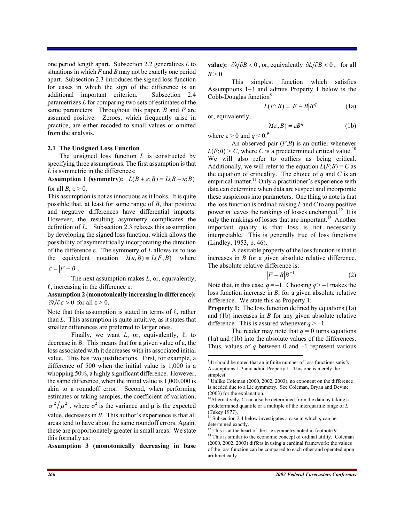one period length apart. Subsection 2.2 generalizes *L* to situations in which *F* and *B* may not be exactly one period apart. Subsection 2.3 introduces the signed loss function for cases in which the sign of the difference is an additional important criterion. Subsection 2.4 parametrizes *L* for comparing two sets of estimates of the same parameters. Throughout this paper, *B* and *F* are assumed positive. Zeroes, which frequently arise in practice, are either recoded to small values or omitted from the analysis.

#### **2.1 The Unsigned Loss Function**

The unsigned loss function *L* is constructed by specifying three assumptions. The first assumption is that *L* is symmetric in the differences:

**Assumption 1 (symmetry):**  $L(B + \varepsilon; B) = L(B - \varepsilon; B)$ 

for all *B*,  $\varepsilon > 0$ .

This assumption is not as innocuous as it looks. It is quite possible that, at least for some range of *B*, that positive and negative differences have differential impacts. However, the resulting asymmetry complicates the definition of *L*. Subsection 2.3 relaxes this assumption by developing the signed loss function, which allows the possibility of asymmetrically incorporating the direction of the difference  $\varepsilon$ . The symmetry of *L* allows us to use the equivalent notation  $\lambda(\varepsilon, B) = L(F, B)$  where

 $\varepsilon = |F - B|$ .

 The next assumption makes *L*, or, equivalently,  $\ell$ , increasing in the difference  $\varepsilon$ :

**Assumption 2 (monotonically increasing in difference):**  $\partial \mathcal{N} \partial \varepsilon > 0$  for all  $\varepsilon > 0$ .

Note that this assumption is stated in terms of  $\ell$ , rather than *L*. This assumption is quite intuitive, as it states that smaller differences are preferred to larger ones.

Finally, we want  $L$ , or, equivalently,  $\ell$ , to decrease in *B*. This means that for a given value of  $\varepsilon$ , the loss associated with it decreases with its associated initial value. This has two justifications. First, for example, a difference of 500 when the initial value is 1,000 is a whopping 50%, a highly significant difference. However, the same difference, when the initial value is 1,000,000 is akin to a roundoff error. Second, when performing estimates or taking samples, the coefficient of variation,  $\sigma^2/\mu^2$ , where  $\sigma^2$  is the variance and  $\mu$  is the expected value, decreases in *B*. This author's experience is that all areas tend to have about the same roundoff errors. Again, these are proportionately greater in small areas. We state this formally as:

**Assumption 3 (monotonically decreasing in base** 

**value):**  $\partial \sqrt{\partial B} < 0$ , or, equivalently  $\partial L / \partial B < 0$ , for all  $B > 0$ .

 This simplest function which satisfies Assumptions 1–3 and admits Property 1 below is the Cobb-Douglas function<sup>8</sup>

$$
L(F;B) = |F - B|Bq
$$
 (1a)

 $\lambda(\varepsilon, B) = \varepsilon B^q$  (1b)

or, equivalently,

 $\overline{a}$ 

where  $\epsilon$  > 0 and *q* < 0.<sup>9</sup> An observed pair (*F*;*B*) is an outlier whenever  $L(F;B) > C$ , where *C* is a predetermined critical value.<sup>10</sup> We will also refer to outliers as being critical. Additionally, we will refer to the equation  $L(F;B) = C$  as the equation of criticality. The choice of  $q$  and  $C$  is an empirical matter.<sup>11</sup> Only a practitioner's experience with data can determine when data are suspect and incorporate these suspicions into parameters. One thing to note is that the loss function is ordinal: raising *L* and *C* to any positive power *m* leaves the rankings of losses unchanged.<sup>12</sup> It is only the rankings of losses that are important.<sup>13</sup> Another important quality is that loss is not necessarily interpretable. This is generally true of loss functions (Lindley, 1953, p. 46).

A desirable property of the loss function is that it increases in *B* for a given absolute relative difference. The absolute relative difference is:

$$
|F - B|B^{-1} \tag{2}
$$

Note that, in this case,  $q = -1$ . Choosing  $q > -1$  makes the loss function increase in *B*, for a given absolute relative difference. We state this as Property 1:

**Property 1:** The loss function defined by equations (1a) and (1b) increases in *B* for any given absolute relative difference. This is assured whenever  $q > -1$ .

The reader may note that  $q = 0$  turns equations (1a) and (1b) into the absolute values of the differences. Thus, values of *q* between 0 and –1 represent various

<sup>&</sup>lt;sup>8</sup> It should be noted that an infinite number of loss functions satisfy Assumptions 1-3 and admit Property 1. This one is merely the simplest.

<sup>&</sup>lt;sup>9</sup> Unlike Coleman (2000, 2002, 2003), no exponent on the difference is needed due to a Lie symmetry. See Coleman, Bryan and Devine (2003) for the explanation.

<sup>&</sup>lt;sup>10</sup>Alternatively,  $\hat{C}$  can also be determined from the data by taking a predetermined quantile or a multiple of the interquartile range of *L* (Tukey 1977).

Subsection 2.4 below investigates a case in which  $q$  can be determined exactly.

<sup>&</sup>lt;sup>12</sup> This is at the heart of the Lie symmetry noted in footnote 9.

<sup>&</sup>lt;sup>13</sup> This is similar to the economic concept of ordinal utility. Coleman (2000, 2002, 2003) differs in using a cardinal framework: the values of the loss function can be compared to each other and operated upon arithmetically.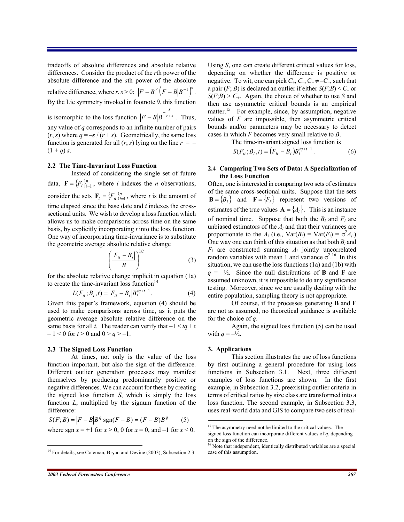tradeoffs of absolute differences and absolute relative differences. Consider the product of the *r*th power of the absolute difference and the *s*th power of the absolute relative difference, where  $r, s > 0$ :  $\left|F - B\right|^r \left(\left|F - B\right|B^{-1}\right)^s$ . By the Lie symmetry invoked in footnote 9, this function is isomorphic to the loss function  $|F - B|B|^{r+s}$ *s*  $F - B\left|B\right|^{-\frac{s}{r+s}}$ . Thus, any value of *q* corresponds to an infinite number of pairs  $(r, s)$  where  $q = -s / (r + s)$ . Geometrically, the same loss function is generated for all  $(r, s)$  lying on the line  $r = (1 + q) s.$ 

#### **2.2 The Time-Invariant Loss Function**

Instead of considering the single set of future data,  $\mathbf{F} = \{F_i\}_{i=1}^n$ , where *i* indexes the *n* observations, consider the sets  $\mathbf{F}_t = \{F_{it}\}_{i=1}^n$ , where *t* is the amount of time elapsed since the base date and *i* indexes the crosssectional units. We wish to develop a loss function which allows us to make comparisons across time on the same basis, by explicitly incorporating *t* into the loss function. One way of incorporating time-invariance is to substitute the geometric average absolute relative change

$$
\left(\frac{|F_{it} - B_i|}{B}\right)^{1/t} \tag{3}
$$

for the absolute relative change implicit in equation (1a) to create the time-invariant loss function $14$ 

$$
L(F_{it}; B_i, t) = |F_{it} - B_i| B_i^{tq+t-1}.
$$
 (4)

Given this paper's framework, equation (4) should be used to make comparisons across time, as it puts the geometric average absolute relative difference on the same basis for all *t*. The reader can verify that  $-1 < tq + t$  $-1 < 0$  for  $t > 0$  and  $0 > q > -1$ .

#### **2.3 The Signed Loss Function**

 At times, not only is the value of the loss function important, but also the sign of the difference. Different outlier generation processes may manifest themselves by producing predominantly positive or negative differences. We can account for these by creating the signed loss function *S*, which is simply the loss function *L*, multiplied by the signum function of the difference:

$$
S(F;B) = |F - B|Bq sgn(F - B) = (F - B)Bq
$$
 (5)  
where sgn x = +1 for x > 0, 0 for x = 0, and -1 for x < 0.

Using *S*, one can create different critical values for loss, depending on whether the difference is positive or negative. To wit, one can pick  $C_+$ ,  $C_-$ ,  $C_+ \neq -C_-$ , such that a pair  $(F; B)$  is declared an outlier if either  $S(F; B) \leq C$  or  $S(F;B) > C_+$ . Again, the choice of whether to use *S* and then use asymmetric critical bounds is an empirical matter.<sup>15</sup> For example, since, by assumption, negative values of *F* are impossible, then asymmetric critical bounds and/or parameters may be necessary to detect cases in which *F* becomes very small relative to *B*.

The time-invariant signed loss function is

$$
S(F_{it}; B_i, t) = (F_{it} - B_i)B_i^{tq+t-1}.
$$
 (6)

#### **2.4 Comparing Two Sets of Data: A Specialization of the Loss Function**

Often, one is interested in comparing two sets of estimates of the same cross-sectional units. Suppose that the sets  $\mathbf{B} = \{B_i\}$  and  $\mathbf{F} = \{F_i\}$  represent two versions of estimates of the true values  $\mathbf{A} = \{A_i\}$ . This is an instance of nominal time. Suppose that both the  $B_i$  and  $F_i$  are unbiased estimators of the  $A_i$  and that their variances are proportionate to the  $A_i$  (i.e.,  $\text{Var}(B_i) = \text{Var}(F_i) = \sigma^2 A_i$ .) One way one can think of this situation as that both  $B_i$  and  $F_i$  are constructed summing  $A_i$  jointly uncorrelated random variables with mean 1 and variance  $\sigma^{2}$ <sup>16</sup> In this situation, we can use the loss functions (1a) and (1b) with  $q = -\frac{1}{2}$ . Since the null distributions of **B** and **F** are assumed unknown, it is impossible to do any significance testing. Moreover, since we are usually dealing with the entire population, sampling theory is not appropriate.

 Of course, if the processes generating **B** and **F** are not as assumed, no theoretical guidance is available for the choice of *q*.

 Again, the signed loss function (5) can be used with  $q = -\frac{1}{2}$ .

#### **3. Applications**

 $\overline{a}$ 

 This section illustrates the use of loss functions by first outlining a general procedure for using loss functions in Subsection 3.1. Next, three different examples of loss functions are shown. In the first example, in Subsection 3.2, preexisting outlier criteria in terms of critical ratios by size class are transformed into a loss function. The second example, in Subsection 3.3, uses real-world data and GIS to compare two sets of real-

<u>.</u>

<sup>&</sup>lt;sup>14</sup> For details, see Coleman, Bryan and Devine (2003), Subsection 2.3.

<sup>&</sup>lt;sup>15</sup> The asymmetry need not be limited to the critical values. The signed loss function can incorporate different values of *q*, depending on the sign of the difference.

<sup>&</sup>lt;sup>16</sup> Note that independent, identically distributed variables are a special case of this assumption.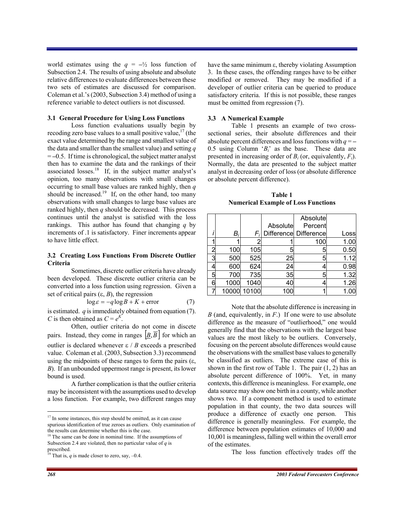world estimates using the  $q = -\frac{1}{2}$  loss function of Subsection 2.4. The results of using absolute and absolute relative differences to evaluate differences between these two sets of estimates are discussed for comparison. Coleman et al.'s (2003, Subsection 3.4) method of using a reference variable to detect outliers is not discussed.

#### **3.1 General Procedure for Using Loss Functions**

Loss function evaluations usually begin by recoding zero base values to a small positive value,  $17$  (the exact value determined by the range and smallest value of the data and smaller than the smallest value) and setting *q* = **–**0.5. If time is chronological, the subject matter analyst then has to examine the data and the rankings of their associated losses.<sup>18</sup> If, in the subject matter analyst's opinion, too many observations with small changes occurring to small base values are ranked highly, then *q* should be increased.<sup>19</sup> If, on the other hand, too many observations with small changes to large base values are ranked highly, then *q* should be decreased. This process continues until the analyst is satisfied with the loss rankings. This author has found that changing *q* by increments of .1 is satisfactory. Finer increments appear to have little effect.

## **3.2 Creating Loss Functions From Discrete Outlier Criteria**

Sometimes, discrete outlier criteria have already been developed. These discrete outlier criteria can be converted into a loss function using regression. Given a set of critical pairs  $(\varepsilon, B)$ , the regression

$$
\log \varepsilon = -q \log B + K + \text{error} \tag{7}
$$

is estimated. *q* is immediately obtained from equation (7). *C* is then obtained as  $C = e^{K}$ .

 Often, outlier criteria do not come in discete pairs. Instead, they come in ranges  $\left| \underline{B}, \overline{B} \right|$  for which an outlier is declared whenever  $\epsilon / B$  exceeds a prescribed value. Coleman et al. (2003, Subsection 3.3) recommend using the midpoints of these ranges to form the pairs  $(\varepsilon, \theta)$ *B*). If an unbounded uppermost range is present, its lower bound is used.

 A further complication is that the outlier criteria may be inconsistent with the assumptions used to develop a loss function. For example, two different ranges may

have the same minimum  $\varepsilon$ , thereby violating Assumption 3. In these cases, the offending ranges have to be either modified or removed. They may be modified if a developer of outlier criteria can be queried to produce satisfactory criteria. If this is not possible, these ranges must be omitted from regression (7).

#### **3.3 A Numerical Example**

 Table 1 presents an example of two crosssectional series, their absolute differences and their absolute percent differences and loss functions with *q* = **–** 0.5 using Column '*Bi*' as the base. These data are presented in increasing order of  $B_i$  (or, equivalently,  $F_i$ ). Normally, the data are presented to the subject matter analyst in decreasing order of loss (or absolute difference or absolute percent difference).

| Table 1                                    |
|--------------------------------------------|
| <b>Numerical Example of Loss Functions</b> |

|   |       |       |          | Absolute              |      |
|---|-------|-------|----------|-----------------------|------|
|   |       |       | Absolute | Percent               |      |
|   | B,    | F,    |          | Difference Difference | Loss |
|   |       |       |          | 100                   | 1.00 |
|   | 100   | 105   | 5        | 5                     | 0.50 |
| 3 | 500   | 525   | 25       | 5                     | 1.12 |
|   | 600   | 624   | 24       |                       | 0.98 |
| 5 | 700   | 735   | 35       | 5                     | 1.32 |
| 6 | 1000  | 1040  | 40       | 4                     | 1.26 |
|   | 10000 | 10100 |          |                       | 1.00 |

Note that the absolute difference is increasing in *B* (and, equivalently, in *F*.) If one were to use absolute difference as the measure of "outlierhood," one would generally find that the observations with the largest base values are the most likely to be outliers. Conversely, focusing on the percent absolute differences would cause the observations with the smallest base values to generally be classified as outliers. The extreme case of this is shown in the first row of Table 1. The pair  $(1, 2)$  has an absolute percent difference of 100%. Yet, in many contexts, this difference is meaningless. For example, one data source may show one birth in a county, while another shows two. If a component method is used to estimate population in that county, the two data sources will produce a difference of exactly one person. This difference is generally meaningless. For example, the difference between population estimates of 10,000 and 10,001 is meaningless, falling well within the overall error of the estimates.

The loss function effectively trades off the

 $17$  In some instances, this step should be omitted, as it can cause spurious identification of true zeroes as outliers. Only examination of the results can determine whether this is the case.

<sup>&</sup>lt;sup>18</sup> The same can be done in nominal time. If the assumptions of Subsection 2.4 are violated, then no particular value of *q* is prescribed.

<sup>&</sup>lt;sup>19</sup> That is,  $q$  is made closer to zero, say,  $-0.4$ .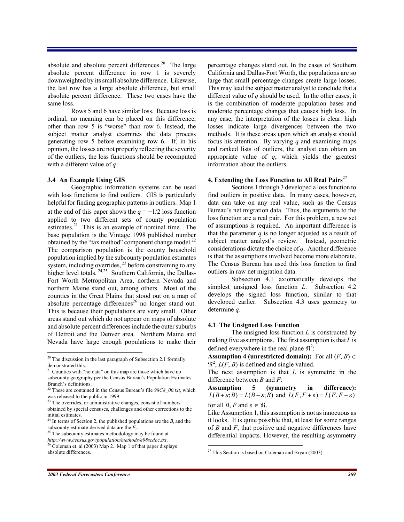absolute and absolute percent differences.<sup>20</sup> The large absolute percent difference in row 1 is severely downweighted by its small absolute difference. Likewise, the last row has a large absolute difference, but small absolute percent difference. These two cases have the same loss.

 Rows 5 and 6 have similar loss. Because loss is ordinal, no meaning can be placed on this difference, other than row 5 is "worse" than row 6. Instead, the subject matter analyst examines the data process generating row 5 before examining row 6. If, in his opinion, the losses are not properly reflecting the severity of the outliers, the loss functions should be recomputed with a different value of *q*.

#### **3.4 An Example Using GIS**

 Geographic information systems can be used with loss functions to find outliers. GIS is particularly helpful for finding geographic patterns in outliers. Map 1 at the end of this paper shows the  $q = -1/2$  loss function applied to two different sets of county population estimates.<sup>21</sup> This is an example of nominal time. The base population is the Vintage 1998 published number obtained by the "tax method" component change model. $^{22}$ The comparison population is the county household population implied by the subcounty population estimates system, including overrides,  $^{23}$  before constraining to any higher level totals. <sup>24,25</sup> Southern California, the Dallas-Fort Worth Metropolitan Area, northern Nevada and northern Maine stand out, among others. Most of the counties in the Great Plains that stood out on a map of absolute percentage differences<sup>26</sup> no longer stand out. This is because their populations are very small. Other areas stand out which do not appear on maps of absolute and absolute percent differences include the outer suburbs of Detroit and the Denver area. Northern Maine and Nevada have large enough populations to make their

percentage changes stand out. In the cases of Southern California and Dallas-Fort Worth, the populations are so large that small percentage changes create large losses. This may lead the subject matter analyst to conclude that a different value of *q* should be used. In the other cases, it is the combination of moderate population bases and moderate percentage changes that causes high loss. In any case, the interpretation of the losses is clear: high losses indicate large divergences between the two methods. It is these areas upon which an analyst should focus his attention. By varying *q* and examining maps and ranked lists of outliers, the analyst can obtain an appropriate value of *q*, which yields the greatest information about the outliers.

## **4. Extending the Loss Function to All Real Pairs**<sup>27</sup>

Sections 1 through 3 developed a loss function to find outliers in positive data. In many cases, however, data can take on any real value, such as the Census Bureau's net migration data. Thus, the arguments to the loss function are a real pair. For this problem, a new set of assumptions is required. An important difference is that the parameter  $q$  is no longer adjusted as a result of subject matter analyst's review. Instead, geometric considerations dictate the choice of *q*. Another difference is that the assumptions involved become more elaborate. The Census Bureau has used this loss function to find outliers in raw net migration data.

Subsection 4.1 axiomatically develops the simplest unsigned loss function *L*. Subsection 4.2 develops the signed loss function, similar to that developed earlier. Subsection 4.3 uses geometry to determine *q*.

#### **4.1 The Unsigned Loss Function**

The unsigned loss function *L* is constructed by making five assumptions. The first assumption is that *L* is defined everywhere in the real plane  $\mathfrak{R}^2$ :

**Assumption 4 (unrestricted domain):** For all  $(F, B) \in$  $\mathfrak{R}^2$ ,  $L(F, B)$  is defined and single valued.

The next assumption is that *L* is symmetric in the difference between *B* and *F*:

**Assumption 5 (symmetry in difference):**  $L(B+\varepsilon;B) = L(B-\varepsilon;B)$  and  $L(F,F+\varepsilon) = L(F,F-\varepsilon)$ for all *B*, *F* and  $\varepsilon \in \mathcal{R}$ .

Like Assumption 1, this assumption is not as innocuous as it looks. It is quite possible that, at least for some ranges of *B* and *F*, that positive and negative differences have differential impacts. However, the resulting asymmetry

 $20$ <sup>20</sup> The discussion in the last paragraph of Subsection 2.1 formally demonstrated this.

<sup>&</sup>lt;sup>21</sup> Counties with "no data" on this map are those which have no subcounty geography per the Census Bureau's Population Estimates Branch's definitions.

<sup>22</sup> These are contained in the Census Bureau's file *98C8\_00.txt*, which was released to the public in 1999.

<sup>&</sup>lt;sup>23</sup> The overrides, or administrative changes, consist of numbers obtained by special censuses, challenges and other corrections to the initial estimates.

<sup>&</sup>lt;sup>24</sup> In terms of Section 2, the published populations are the  $B_i$  and the subcounty estimate-derived data are the *F<sup>i</sup>* .

<sup>&</sup>lt;sup>25</sup> The subcounty estimates methodology may be found at *http://www.census.gov/population/methods/e98scdoc.txt*.

<sup>&</sup>lt;sup>26</sup> Coleman et. al (2003) Map 2. Map 1 of that paper displays absolute differences.

<sup>&</sup>lt;u>.</u>  $27$  This Section is based on Coleman and Bryan (2003).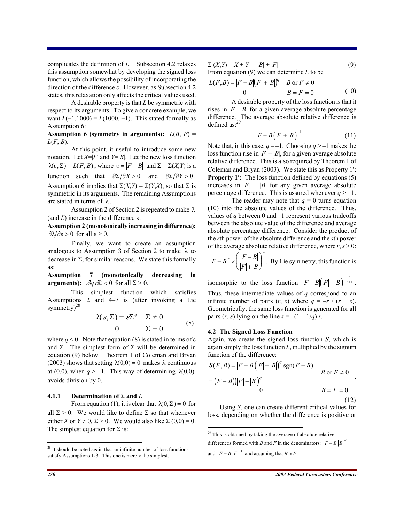complicates the definition of *L*. Subsection 4.2 relaxes this assumption somewhat by developing the signed loss function, which allows the possibility of incorporating the direction of the difference  $\varepsilon$ . However, as Subsection 4.2 states, this relaxation only affects the critical values used.

 A desirable property is that *L* be symmetric with respect to its arguments. To give a concrete example, we want  $L(-1,1000) = L(1000, -1)$ . This stated formally as Assumption 6:

# **Assumption 6 (symmetry in arguments):**  $L(B, F) =$ *L*(*F*, *B*).

At this point, it useful to introduce some new notation. Let  $X=|F|$  and  $Y=|B|$ . Let the new loss function  $\lambda(\varepsilon, \Sigma) = L(F, B)$ , where  $\varepsilon = |F - B|$  and  $\Sigma = \Sigma(X, Y)$  is a function such that  $\partial \Sigma / \partial X > 0$  and  $\partial \Sigma / \partial Y > 0$ . Assumption 6 implies that  $\Sigma(X, Y) = \Sigma(Y, X)$ , so that  $\Sigma$  is symmetric in its arguments. The remaining Assumptions are stated in terms of  $\lambda$ .

Assumption 2 of Section 2 is repeated to make  $\lambda$ (and  $L$ ) increase in the difference  $\varepsilon$ :

**Assumption 2 (monotonically increasing in difference):**  $\partial \mathcal{N} \partial \varepsilon > 0$  for all  $\varepsilon \geq 0$ .

 Finally, we want to create an assumption analogous to Assumption 3 of Section 2 to make  $\lambda$  to decrease in  $\Sigma$ , for similar reasons. We state this formally as:

**Assumption 7 (monotonically decreasing in arguments):**  $\partial \mathcal{A}/\partial \mathcal{Z} < 0$  for all  $\Sigma > 0$ .

 This simplest function which satisfies Assumptions 2 and 4–7 is (after invoking a Lie symmetry)<sup>28</sup>

$$
\lambda(\varepsilon, \Sigma) = \varepsilon \Sigma^{q} \quad \Sigma \neq 0
$$
  
0 \quad \Sigma = 0 \tag{8}

where  $q < 0$ . Note that equation (8) is stated in terms of  $\varepsilon$ and  $\Sigma$ . The simplest form of  $\Sigma$  will be determined in equation (9) below. Theorem 1 of Coleman and Bryan (2003) shows that setting  $\lambda(0,0) = 0$  makes  $\lambda$  continuous at (0,0), when  $q > -1$ . This way of determining  $\lambda(0,0)$ avoids division by 0.

#### **4.1.1** Determination of  $\Sigma$  and  $L$

From equation (1), it is clear that  $\lambda(0, \Sigma) = 0$  for all  $\Sigma > 0$ . We would like to define  $\Sigma$  so that whenever either *X* or  $Y \neq 0$ ,  $\Sigma > 0$ . We would also like  $\Sigma(0,0) = 0$ . The simplest equation for  $\Sigma$  is:

 $\sum (X,Y) = X + Y = |B| + |F|$  (9) From equation (9) we can determine *L* to be

 0 0 ),( or 0 z *B F FL B F B F B B F q* (10)

A desirable property of the loss function is that it rises in  $|F - B|$  for a given average absolute percentage difference. The average absolute relative difference is defined as:<sup>29</sup>

$$
|F - B(|F| + |B|)^{-1}
$$
 (11)

Note that, in this case,  $q = -1$ . Choosing  $q > -1$  makes the loss function rise in  $|F| + |B|$ , for a given average absolute relative difference. This is also required by Theorem 1 of Coleman and Bryan (2003). We state this as Property  $1$ . **Property 1':** The loss function defined by equations (5) increases in  $|F| + |B|$  for any given average absolute percentage difference. This is assured whenever  $q > -1$ .

The reader may note that  $q = 0$  turns equation (10) into the absolute values of the difference. Thus, values of *q* between 0 and –1 represent various tradeoffs between the absolute value of the difference and average absolute percentage difference. Consider the product of the *r*th power of the absolute difference and the *s*th power of the average absolute relative difference, where  $r, s > 0$ :

$$
|F - B|^{r} \times \left(\frac{|F - B|}{|F| + |B|}\right)^{s}
$$
. By Lie symmetry, this function is

isomorphic to the loss function  $|F-B||[F]+[B])^{-\frac{r}{r+s}}$ . Thus, these intermediate values of *q* correspond to an infinite number of pairs  $(r, s)$  where  $q = -r / (r + s)$ . Geometrically, the same loss function is generated for all pairs  $(r, s)$  lying on the line  $s = -(1 - 1/q) r$ .

#### **4.2 The Signed Loss Function**

Again, we create the signed loss function *S*, which is again simply the loss function *L*, multiplied by the signum function of the difference:

$$
S(F, B) = |F - B| (|F| + |B|)^{q} \operatorname{sgn}(F - B)
$$
  
\n
$$
= (F - B) (|F| + |B|)^{q}
$$
  
\n
$$
B = F = 0
$$
  
\n(12)

Using *S*, one can create different critical values for loss, depending on whether the difference is positive or

and  $|F - B||F|^{-1}$  and assuming that  $B \approx F$ .

-

 $2<sup>28</sup>$  It should be noted again that an infinite number of loss functions satisfy Assumptions 1-3. This one is merely the simplest.

 $29$ <sup>29</sup> This is obtained by taking the average of absolute relative differences formed with *B* and *F* in the denominators:  $|F - B||B|^{-1}$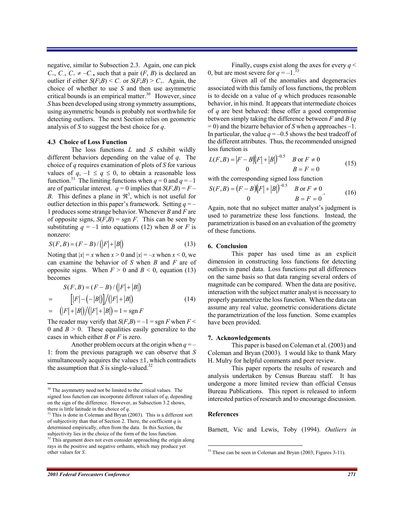negative, similar to Subsection 2.3. Again, one can pick  $C_+$ ,  $C_-$ ,  $C_+ \neq -C_-$ , such that a pair  $(F, B)$  is declared an outlier if either  $S(F;B) \leq C$  or  $S(F;B) \geq C$ . Again, the choice of whether to use *S* and then use asymmetric critical bounds is an empirical matter. $30$  However, since *S* has been developed using strong symmetry assumptions, using asymmetric bounds is probably not worthwhile for detecting outliers. The next Section relies on geometric analysis of *S* to suggest the best choice for *q*.

#### **4.3 Choice of Loss Function**

The loss functions *L* and *S* exhibit wildly different behaviors depending on the value of *q*. The choice of *q* requires examination of plots of *S* for various values of  $q$ ,  $-1 \le q \le 0$ , to obtain a reasonable loss function.<sup>31</sup> The limiting functions when  $q = 0$  and  $q = -1$ are of particular interest.  $q = 0$  implies that  $S(F,B) = F -$ *B*. This defines a plane in  $\mathfrak{R}^3$ , which is not useful for outlier detection in this paper's framework. Setting  $q = -$ 1 produces some strange behavior. Whenever *B* and *F* are of opposite signs,  $S(F,B) = sgn F$ . This can be seen by substituting  $q = -1$  into equations (12) when *B* or *F* is nonzero:

$$
S(F, B) = (F - B) / (|F| + |B|)
$$
\n(13)

Noting that  $|x| = x$  when  $x > 0$  and  $|x| = -x$  when  $x < 0$ , we can examine the behavior of *S* when *B* and *F* are of opposite signs. When  $F > 0$  and  $B < 0$ , equation (13) becomes

$$
S(F, B) = (F - B) / (|F| + |B|)
$$
  
= 
$$
[|F| - (-|B|)] / (|F| + |B|)
$$
  
= 
$$
(|F| + |B|) / (|F| + |B|) = 1 = \text{sgn } F
$$
 (14)

The reader may verify that  $S(F,B) = -1 = \text{sgn } F$  when  $F <$ 0 and  $B > 0$ . These equalities easily generalize to the cases in which either *B* or *F* is zero.

Another problem occurs at the origin when  $q = -$ 1: from the previous paragraph we can observe that *S* simultaneously acquires the values  $\pm 1$ , which contradicts the assumption that *S* is single-valued.<sup>32</sup>

Finally, cusps exist along the axes for every  $q <$ 0, but are most severe for  $q = -1$ .<sup>33</sup>

 Given all of the anomalies and degeneracies associated with this family of loss functions, the problem is to decide on a value of *q* which produces reasonable behavior, in his mind. It appears that intermediate choices of *q* are best behaved: these offer a good compromise between simply taking the difference between *F* and *B* (*q* = 0) and the bizarre behavior of *S* when *q* approaches –1. In particular, the value  $q = -0.5$  shows the best tradeoff of the different attributes. Thus, the recommended unsigned loss function is

$$
L(F, B) = |F - B|(|F| + |B|)^{-0.5} \quad B \text{ or } F \neq 0
$$
  
0 \qquad B = F = 0 \qquad (15)

with the corresponding signed loss function

$$
S(F,B) = (F - B)(|F| + |B|)^{-0.5} \quad B \text{ or } F \neq 0
$$
  
0 \qquad B = F = 0 \qquad (16)

Again, note that no subject matter analyst's judgment is used to parametrize these loss functions. Instead, the parametrization is based on an evaluation of the geometry of these functions.

#### **6. Conclusion**

This paper has used time as an explicit dimension in constructing loss functions for detecting outliers in panel data. Loss functions put all differences on the same basis so that data ranging several orders of magnitude can be compared. When the data are positive, interaction with the subject matter analyst is necessary to properly parametrize the loss function. When the data can assume any real value, geometric considerations dictate the parametrization of the loss function. Some examples have been provided.

#### **7. Acknowledgements**

This paper is based on Coleman et al. (2003) and Coleman and Bryan (2003). I would like to thank Mary H. Mulry for helpful comments and peer review.

This paper reports the results of research and analysis undertaken by Census Bureau staff. It has undergone a more limited review than official Census Bureau Publications. This report is released to inform interested parties of research and to encourage discussion.

# **References**

<u>.</u>

Barnett, Vic and Lewis, Toby (1994). *Outliers in* 

<sup>&</sup>lt;sup>30</sup> The asymmetry need not be limited to the critical values. The signed loss function can incorporate different values of *q*, depending on the sign of the difference. However, as Subsection 3.2 shows, there is little latitude in the choice of *q*.

<sup>&</sup>lt;sup>31</sup> This is done in Coleman and Bryan (2003). This is a different sort of subjectivity than that of Section 2. There, the coefficient  $q$  is determined empirically, often from the data. In this Section, the subjectivity lies in the choice of the form of the loss function.  $\frac{32}{2}$  This argument does not even consider approaching the origin along

rays in the positive and negative orthants, which may produce yet other values for *S*.

<sup>&</sup>lt;sup>33</sup> These can be seen in Coleman and Bryan (2003, Figures 3-11).